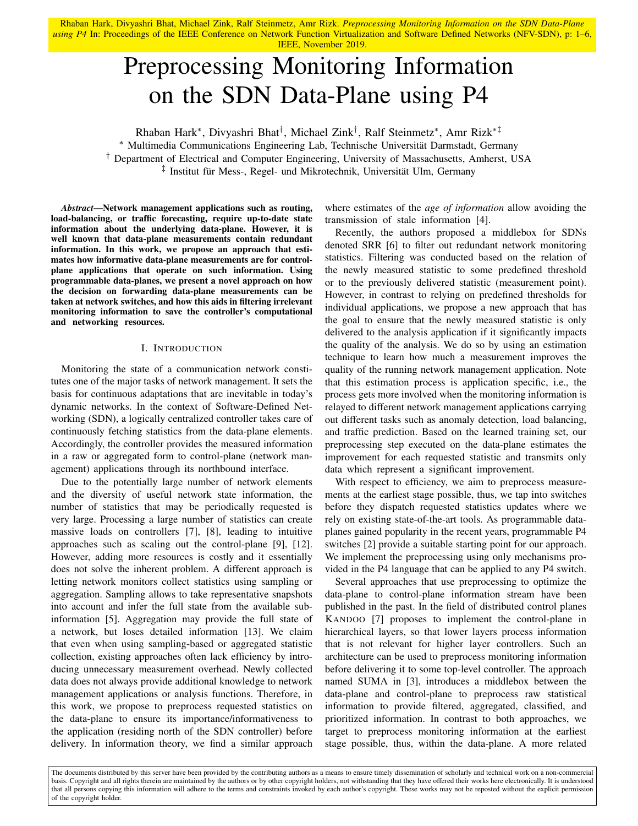# Preprocessing Monitoring Information on the SDN Data-Plane using P4

Rhaban Hark<sup>∗</sup> , Divyashri Bhat† , Michael Zink† , Ralf Steinmetz<sup>∗</sup> , Amr Rizk∗‡ <sup>∗</sup> Multimedia Communications Engineering Lab, Technische Universitat Darmstadt, Germany ¨ † Department of Electrical and Computer Engineering, University of Massachusetts, Amherst, USA <sup>‡</sup> Institut für Mess-, Regel- und Mikrotechnik, Universität Ulm, Germany

*Abstract*—Network management applications such as routing, load-balancing, or traffic forecasting, require up-to-date state information about the underlying data-plane. However, it is well known that data-plane measurements contain redundant information. In this work, we propose an approach that estimates how informative data-plane measurements are for controlplane applications that operate on such information. Using programmable data-planes, we present a novel approach on how the decision on forwarding data-plane measurements can be taken at network switches, and how this aids in filtering irrelevant monitoring information to save the controller's computational and networking resources.

#### I. INTRODUCTION

Monitoring the state of a communication network constitutes one of the major tasks of network management. It sets the basis for continuous adaptations that are inevitable in today's dynamic networks. In the context of Software-Defined Networking (SDN), a logically centralized controller takes care of continuously fetching statistics from the data-plane elements. Accordingly, the controller provides the measured information in a raw or aggregated form to control-plane (network management) applications through its northbound interface.

Due to the potentially large number of network elements and the diversity of useful network state information, the number of statistics that may be periodically requested is very large. Processing a large number of statistics can create massive loads on controllers [7], [8], leading to intuitive approaches such as scaling out the control-plane [9], [12]. However, adding more resources is costly and it essentially does not solve the inherent problem. A different approach is letting network monitors collect statistics using sampling or aggregation. Sampling allows to take representative snapshots into account and infer the full state from the available subinformation [5]. Aggregation may provide the full state of a network, but loses detailed information [13]. We claim that even when using sampling-based or aggregated statistic collection, existing approaches often lack efficiency by introducing unnecessary measurement overhead. Newly collected data does not always provide additional knowledge to network management applications or analysis functions. Therefore, in this work, we propose to preprocess requested statistics on the data-plane to ensure its importance/informativeness to the application (residing north of the SDN controller) before delivery. In information theory, we find a similar approach

where estimates of the *age of information* allow avoiding the transmission of stale information [4].

Recently, the authors proposed a middlebox for SDNs denoted SRR [6] to filter out redundant network monitoring statistics. Filtering was conducted based on the relation of the newly measured statistic to some predefined threshold or to the previously delivered statistic (measurement point). However, in contrast to relying on predefined thresholds for individual applications, we propose a new approach that has the goal to ensure that the newly measured statistic is only delivered to the analysis application if it significantly impacts the quality of the analysis. We do so by using an estimation technique to learn how much a measurement improves the quality of the running network management application. Note that this estimation process is application specific, i.e., the process gets more involved when the monitoring information is relayed to different network management applications carrying out different tasks such as anomaly detection, load balancing, and traffic prediction. Based on the learned training set, our preprocessing step executed on the data-plane estimates the improvement for each requested statistic and transmits only data which represent a significant improvement.

With respect to efficiency, we aim to preprocess measurements at the earliest stage possible, thus, we tap into switches before they dispatch requested statistics updates where we rely on existing state-of-the-art tools. As programmable dataplanes gained popularity in the recent years, programmable P4 switches [2] provide a suitable starting point for our approach. We implement the preprocessing using only mechanisms provided in the P4 language that can be applied to any P4 switch.

Several approaches that use preprocessing to optimize the data-plane to control-plane information stream have been published in the past. In the field of distributed control planes KANDOO [7] proposes to implement the control-plane in hierarchical layers, so that lower layers process information that is not relevant for higher layer controllers. Such an architecture can be used to preprocess monitoring information before delivering it to some top-level controller. The approach named SUMA in [3], introduces a middlebox between the data-plane and control-plane to preprocess raw statistical information to provide filtered, aggregated, classified, and prioritized information. In contrast to both approaches, we target to preprocess monitoring information at the earliest stage possible, thus, within the data-plane. A more related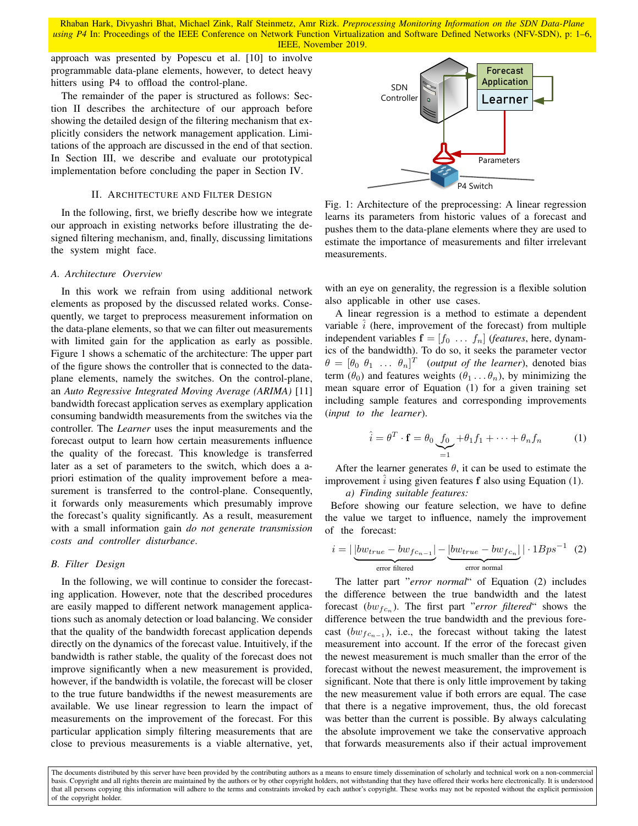approach was presented by Popescu et al. [10] to involve programmable data-plane elements, however, to detect heavy hitters using P4 to offload the control-plane.

The remainder of the paper is structured as follows: Section II describes the architecture of our approach before showing the detailed design of the filtering mechanism that explicitly considers the network management application. Limitations of the approach are discussed in the end of that section. In Section III, we describe and evaluate our prototypical implementation before concluding the paper in Section IV.

#### II. ARCHITECTURE AND FILTER DESIGN

In the following, first, we briefly describe how we integrate our approach in existing networks before illustrating the designed filtering mechanism, and, finally, discussing limitations the system might face.

#### *A. Architecture Overview*

In this work we refrain from using additional network elements as proposed by the discussed related works. Consequently, we target to preprocess measurement information on the data-plane elements, so that we can filter out measurements with limited gain for the application as early as possible. Figure 1 shows a schematic of the architecture: The upper part of the figure shows the controller that is connected to the dataplane elements, namely the switches. On the control-plane, an *Auto Regressive Integrated Moving Average (ARIMA)* [11] bandwidth forecast application serves as exemplary application consuming bandwidth measurements from the switches via the controller. The *Learner* uses the input measurements and the forecast output to learn how certain measurements influence the quality of the forecast. This knowledge is transferred later as a set of parameters to the switch, which does a apriori estimation of the quality improvement before a measurement is transferred to the control-plane. Consequently, it forwards only measurements which presumably improve the forecast's quality significantly. As a result, measurement with a small information gain *do not generate transmission costs and controller disturbance*.

#### *B. Filter Design*

In the following, we will continue to consider the forecasting application. However, note that the described procedures are easily mapped to different network management applications such as anomaly detection or load balancing. We consider that the quality of the bandwidth forecast application depends directly on the dynamics of the forecast value. Intuitively, if the bandwidth is rather stable, the quality of the forecast does not improve significantly when a new measurement is provided, however, if the bandwidth is volatile, the forecast will be closer to the true future bandwidths if the newest measurements are available. We use linear regression to learn the impact of measurements on the improvement of the forecast. For this particular application simply filtering measurements that are close to previous measurements is a viable alternative, yet,



Fig. 1: Architecture of the preprocessing: A linear regression learns its parameters from historic values of a forecast and pushes them to the data-plane elements where they are used to estimate the importance of measurements and filter irrelevant measurements.

with an eye on generality, the regression is a flexible solution also applicable in other use cases.

A linear regression is a method to estimate a dependent variable  $i$  (here, improvement of the forecast) from multiple independent variables  $f = [f_0 \dots f_n]$  (*features*, here, dynamics of the bandwidth). To do so, it seeks the parameter vector  $\theta = [\theta_0 \ \theta_1 \ \dots \ \theta_n]^T$  (*output of the learner*), denoted bias term  $(\theta_0)$  and features weights  $(\theta_1 \dots \theta_n)$ , by minimizing the mean square error of Equation (1) for a given training set including sample features and corresponding improvements (*input to the learner*).

$$
\hat{i} = \theta^T \cdot \mathbf{f} = \theta_0 \underbrace{f_0}_{=1} + \theta_1 f_1 + \dots + \theta_n f_n \tag{1}
$$

After the learner generates  $\theta$ , it can be used to estimate the improvement  $\hat{i}$  using given features  $f$  also using Equation (1). *a) Finding suitable features:*

Before showing our feature selection, we have to define the value we target to influence, namely the improvement of the forecast:

$$
i = |\underbrace{|bw_{true} - bw_{f.c_{n-1}}|}_{\text{error filtered}} - \underbrace{|bw_{true} - bw_{f.c_{n}}|}_{\text{error normal}}| \cdot 1Bps^{-1} \quad (2)
$$

The latter part "*error normal*" of Equation (2) includes the difference between the true bandwidth and the latest forecast  $(bw_{fc_n})$ . The first part "*error filtered*" shows the difference between the true bandwidth and the previous forecast ( $bw_{fc_{n-1}}$ ), i.e., the forecast without taking the latest measurement into account. If the error of the forecast given the newest measurement is much smaller than the error of the forecast without the newest measurement, the improvement is significant. Note that there is only little improvement by taking the new measurement value if both errors are equal. The case that there is a negative improvement, thus, the old forecast was better than the current is possible. By always calculating the absolute improvement we take the conservative approach that forwards measurements also if their actual improvement

The documents distributed by this server have been provided by the contributing authors as a means to ensure timely dissemination of scholarly and technical work on a non-commercial basis. Copyright and all rights therein are maintained by the authors or by other copyright holders, not withstanding that they have offered their works here electronically. It is understood that all persons copying this information will adhere to the terms and constraints invoked by each author's copyright. These works may not be reposted without the explicit permission of the copyright holder.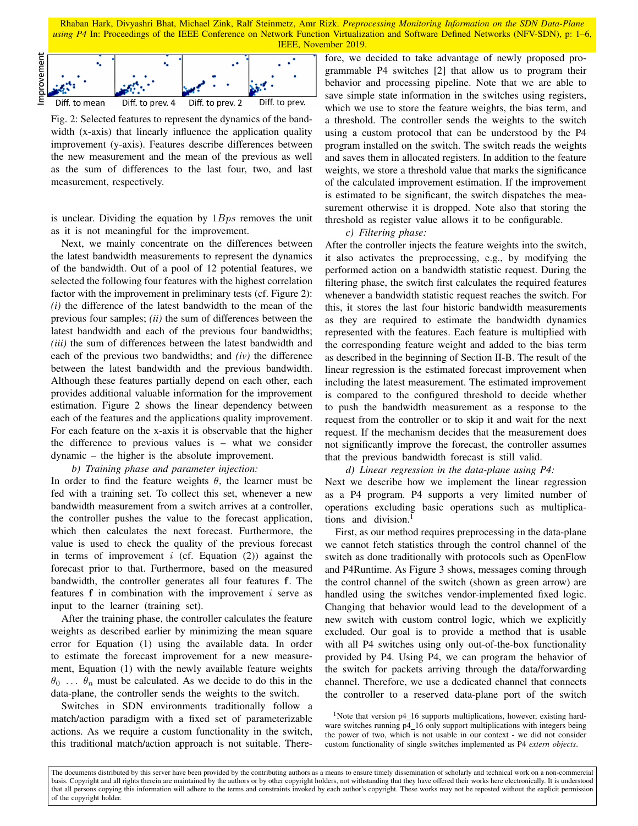

Fig. 2: Selected features to represent the dynamics of the bandwidth (x-axis) that linearly influence the application quality improvement (y-axis). Features describe differences between the new measurement and the mean of the previous as well as the sum of differences to the last four, two, and last measurement, respectively.

is unclear. Dividing the equation by  $1Bps$  removes the unit as it is not meaningful for the improvement.

Next, we mainly concentrate on the differences between the latest bandwidth measurements to represent the dynamics of the bandwidth. Out of a pool of 12 potential features, we selected the following four features with the highest correlation factor with the improvement in preliminary tests (cf. Figure 2): *(i)* the difference of the latest bandwidth to the mean of the previous four samples; *(ii)* the sum of differences between the latest bandwidth and each of the previous four bandwidths; *(iii)* the sum of differences between the latest bandwidth and each of the previous two bandwidths; and *(iv)* the difference between the latest bandwidth and the previous bandwidth. Although these features partially depend on each other, each provides additional valuable information for the improvement estimation. Figure 2 shows the linear dependency between each of the features and the applications quality improvement. For each feature on the x-axis it is observable that the higher the difference to previous values is – what we consider dynamic – the higher is the absolute improvement.

#### *b) Training phase and parameter injection:*

In order to find the feature weights  $\theta$ , the learner must be fed with a training set. To collect this set, whenever a new bandwidth measurement from a switch arrives at a controller, the controller pushes the value to the forecast application, which then calculates the next forecast. Furthermore, the value is used to check the quality of the previous forecast in terms of improvement  $i$  (cf. Equation (2)) against the forecast prior to that. Furthermore, based on the measured bandwidth, the controller generates all four features f. The features  $f$  in combination with the improvement i serve as input to the learner (training set).

After the training phase, the controller calculates the feature weights as described earlier by minimizing the mean square error for Equation (1) using the available data. In order to estimate the forecast improvement for a new measurement, Equation (1) with the newly available feature weights  $\theta_0$  ...  $\theta_n$  must be calculated. As we decide to do this in the data-plane, the controller sends the weights to the switch.

Switches in SDN environments traditionally follow a match/action paradigm with a fixed set of parameterizable actions. As we require a custom functionality in the switch, this traditional match/action approach is not suitable. Therefore, we decided to take advantage of newly proposed programmable P4 switches [2] that allow us to program their behavior and processing pipeline. Note that we are able to save simple state information in the switches using registers, which we use to store the feature weights, the bias term, and a threshold. The controller sends the weights to the switch using a custom protocol that can be understood by the P4 program installed on the switch. The switch reads the weights and saves them in allocated registers. In addition to the feature weights, we store a threshold value that marks the significance of the calculated improvement estimation. If the improvement is estimated to be significant, the switch dispatches the measurement otherwise it is dropped. Note also that storing the threshold as register value allows it to be configurable.

#### *c) Filtering phase:*

After the controller injects the feature weights into the switch, it also activates the preprocessing, e.g., by modifying the performed action on a bandwidth statistic request. During the filtering phase, the switch first calculates the required features whenever a bandwidth statistic request reaches the switch. For this, it stores the last four historic bandwidth measurements as they are required to estimate the bandwidth dynamics represented with the features. Each feature is multiplied with the corresponding feature weight and added to the bias term as described in the beginning of Section II-B. The result of the linear regression is the estimated forecast improvement when including the latest measurement. The estimated improvement is compared to the configured threshold to decide whether to push the bandwidth measurement as a response to the request from the controller or to skip it and wait for the next request. If the mechanism decides that the measurement does not significantly improve the forecast, the controller assumes that the previous bandwidth forecast is still valid.

### *d) Linear regression in the data-plane using P4:*

Next we describe how we implement the linear regression as a P4 program. P4 supports a very limited number of operations excluding basic operations such as multiplications and division.<sup>1</sup>

First, as our method requires preprocessing in the data-plane we cannot fetch statistics through the control channel of the switch as done traditionally with protocols such as OpenFlow and P4Runtime. As Figure 3 shows, messages coming through the control channel of the switch (shown as green arrow) are handled using the switches vendor-implemented fixed logic. Changing that behavior would lead to the development of a new switch with custom control logic, which we explicitly excluded. Our goal is to provide a method that is usable with all P4 switches using only out-of-the-box functionality provided by P4. Using P4, we can program the behavior of the switch for packets arriving through the data/forwarding channel. Therefore, we use a dedicated channel that connects the controller to a reserved data-plane port of the switch

<sup>1</sup>Note that version p4 16 supports multiplications, however, existing hardware switches running p4\_16 only support multiplications with integers being the power of two, which is not usable in our context - we did not consider custom functionality of single switches implemented as P4 *extern objects*.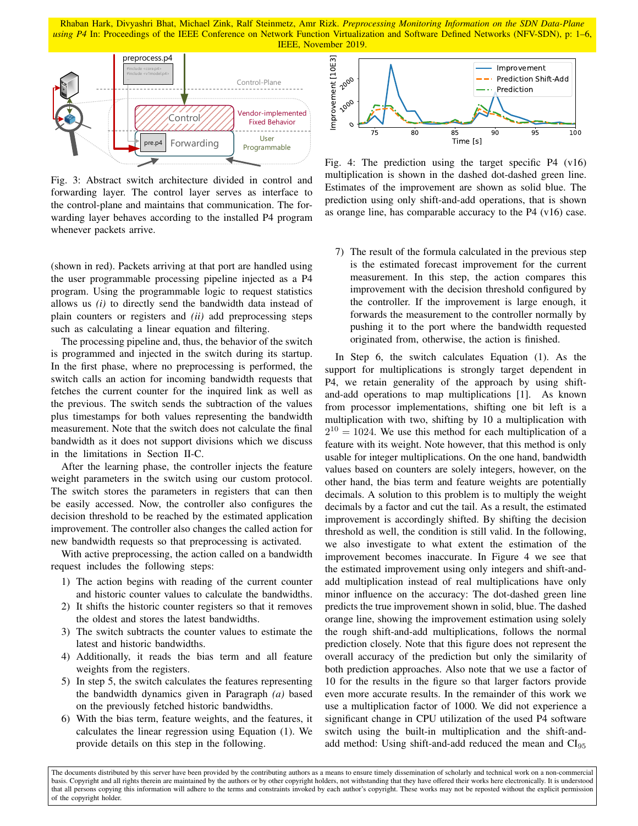Rhaban Hark, Divyashri Bhat, Michael Zink, Ralf Steinmetz, Amr Rizk. *Preprocessing Monitoring Information on the SDN Data-Plane using P4* In: Proceedings of the IEEE Conference on Network Function Virtualization and Software Defined Networks (NFV-SDN), p: 1–6, IEEE, November 2019.



Fig. 3: Abstract switch architecture divided in control and forwarding layer. The control layer serves as interface to the control-plane and maintains that communication. The forwarding layer behaves according to the installed P4 program whenever packets arrive.

(shown in red). Packets arriving at that port are handled using the user programmable processing pipeline injected as a P4 program. Using the programmable logic to request statistics allows us *(i)* to directly send the bandwidth data instead of plain counters or registers and *(ii)* add preprocessing steps such as calculating a linear equation and filtering.

The processing pipeline and, thus, the behavior of the switch is programmed and injected in the switch during its startup. In the first phase, where no preprocessing is performed, the switch calls an action for incoming bandwidth requests that fetches the current counter for the inquired link as well as the previous. The switch sends the subtraction of the values plus timestamps for both values representing the bandwidth measurement. Note that the switch does not calculate the final bandwidth as it does not support divisions which we discuss in the limitations in Section II-C.

After the learning phase, the controller injects the feature weight parameters in the switch using our custom protocol. The switch stores the parameters in registers that can then be easily accessed. Now, the controller also configures the decision threshold to be reached by the estimated application improvement. The controller also changes the called action for new bandwidth requests so that preprocessing is activated.

With active preprocessing, the action called on a bandwidth request includes the following steps:

- 1) The action begins with reading of the current counter and historic counter values to calculate the bandwidths.
- 2) It shifts the historic counter registers so that it removes the oldest and stores the latest bandwidths.
- 3) The switch subtracts the counter values to estimate the latest and historic bandwidths.
- 4) Additionally, it reads the bias term and all feature weights from the registers.
- 5) In step 5, the switch calculates the features representing the bandwidth dynamics given in Paragraph *(a)* based on the previously fetched historic bandwidths.
- 6) With the bias term, feature weights, and the features, it calculates the linear regression using Equation (1). We provide details on this step in the following.



Fig. 4: The prediction using the target specific P4 (v16) multiplication is shown in the dashed dot-dashed green line. Estimates of the improvement are shown as solid blue. The prediction using only shift-and-add operations, that is shown as orange line, has comparable accuracy to the P4 (v16) case.

7) The result of the formula calculated in the previous step is the estimated forecast improvement for the current measurement. In this step, the action compares this improvement with the decision threshold configured by the controller. If the improvement is large enough, it forwards the measurement to the controller normally by pushing it to the port where the bandwidth requested originated from, otherwise, the action is finished.

In Step 6, the switch calculates Equation (1). As the support for multiplications is strongly target dependent in P4, we retain generality of the approach by using shiftand-add operations to map multiplications [1]. As known from processor implementations, shifting one bit left is a multiplication with two, shifting by 10 a multiplication with  $2^{10} = 1024$ . We use this method for each multiplication of a feature with its weight. Note however, that this method is only usable for integer multiplications. On the one hand, bandwidth values based on counters are solely integers, however, on the other hand, the bias term and feature weights are potentially decimals. A solution to this problem is to multiply the weight decimals by a factor and cut the tail. As a result, the estimated improvement is accordingly shifted. By shifting the decision threshold as well, the condition is still valid. In the following, we also investigate to what extent the estimation of the improvement becomes inaccurate. In Figure 4 we see that the estimated improvement using only integers and shift-andadd multiplication instead of real multiplications have only minor influence on the accuracy: The dot-dashed green line predicts the true improvement shown in solid, blue. The dashed orange line, showing the improvement estimation using solely the rough shift-and-add multiplications, follows the normal prediction closely. Note that this figure does not represent the overall accuracy of the prediction but only the similarity of both prediction approaches. Also note that we use a factor of 10 for the results in the figure so that larger factors provide even more accurate results. In the remainder of this work we use a multiplication factor of 1000. We did not experience a significant change in CPU utilization of the used P4 software switch using the built-in multiplication and the shift-andadd method: Using shift-and-add reduced the mean and  $CI_{95}$ 

The documents distributed by this server have been provided by the contributing authors as a means to ensure timely dissemination of scholarly and technical work on a non-commercial basis. Copyright and all rights therein are maintained by the authors or by other copyright holders, not withstanding that they have offered their works here electronically. It is understood that all persons copying this information will adhere to the terms and constraints invoked by each author's copyright. These works may not be reposted without the explicit permission of the copyright holder.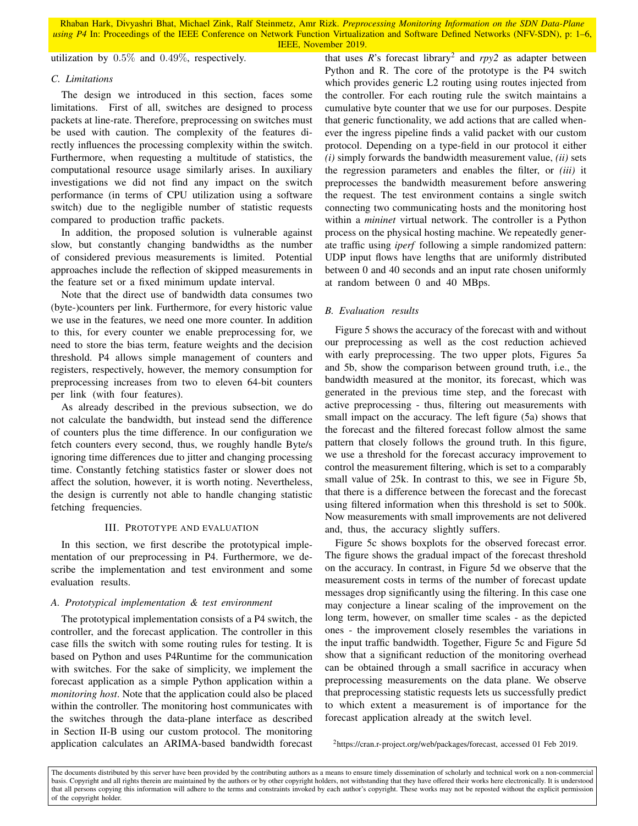utilization by 0.5% and 0.49%, respectively.

#### *C. Limitations*

The design we introduced in this section, faces some limitations. First of all, switches are designed to process packets at line-rate. Therefore, preprocessing on switches must be used with caution. The complexity of the features directly influences the processing complexity within the switch. Furthermore, when requesting a multitude of statistics, the computational resource usage similarly arises. In auxiliary investigations we did not find any impact on the switch performance (in terms of CPU utilization using a software switch) due to the negligible number of statistic requests compared to production traffic packets.

In addition, the proposed solution is vulnerable against slow, but constantly changing bandwidths as the number of considered previous measurements is limited. Potential approaches include the reflection of skipped measurements in the feature set or a fixed minimum update interval.

Note that the direct use of bandwidth data consumes two (byte-)counters per link. Furthermore, for every historic value we use in the features, we need one more counter. In addition to this, for every counter we enable preprocessing for, we need to store the bias term, feature weights and the decision threshold. P4 allows simple management of counters and registers, respectively, however, the memory consumption for preprocessing increases from two to eleven 64-bit counters per link (with four features).

As already described in the previous subsection, we do not calculate the bandwidth, but instead send the difference of counters plus the time difference. In our configuration we fetch counters every second, thus, we roughly handle Byte/s ignoring time differences due to jitter and changing processing time. Constantly fetching statistics faster or slower does not affect the solution, however, it is worth noting. Nevertheless, the design is currently not able to handle changing statistic fetching frequencies.

#### III. PROTOTYPE AND EVALUATION

In this section, we first describe the prototypical implementation of our preprocessing in P4. Furthermore, we describe the implementation and test environment and some evaluation results.

#### *A. Prototypical implementation & test environment*

The prototypical implementation consists of a P4 switch, the controller, and the forecast application. The controller in this case fills the switch with some routing rules for testing. It is based on Python and uses P4Runtime for the communication with switches. For the sake of simplicity, we implement the forecast application as a simple Python application within a *monitoring host*. Note that the application could also be placed within the controller. The monitoring host communicates with the switches through the data-plane interface as described in Section II-B using our custom protocol. The monitoring application calculates an ARIMA-based bandwidth forecast

that uses  $R$ 's forecast library<sup>2</sup> and  $rpy2$  as adapter between Python and R. The core of the prototype is the P4 switch which provides generic L2 routing using routes injected from the controller. For each routing rule the switch maintains a cumulative byte counter that we use for our purposes. Despite that generic functionality, we add actions that are called whenever the ingress pipeline finds a valid packet with our custom protocol. Depending on a type-field in our protocol it either *(i)* simply forwards the bandwidth measurement value, *(ii)* sets the regression parameters and enables the filter, or *(iii)* it preprocesses the bandwidth measurement before answering the request. The test environment contains a single switch connecting two communicating hosts and the monitoring host within a *mininet* virtual network. The controller is a Python process on the physical hosting machine. We repeatedly generate traffic using *iperf* following a simple randomized pattern: UDP input flows have lengths that are uniformly distributed between 0 and 40 seconds and an input rate chosen uniformly at random between 0 and 40 MBps.

#### *B. Evaluation results*

Figure 5 shows the accuracy of the forecast with and without our preprocessing as well as the cost reduction achieved with early preprocessing. The two upper plots, Figures 5a and 5b, show the comparison between ground truth, i.e., the bandwidth measured at the monitor, its forecast, which was generated in the previous time step, and the forecast with active preprocessing - thus, filtering out measurements with small impact on the accuracy. The left figure (5a) shows that the forecast and the filtered forecast follow almost the same pattern that closely follows the ground truth. In this figure, we use a threshold for the forecast accuracy improvement to control the measurement filtering, which is set to a comparably small value of 25k. In contrast to this, we see in Figure 5b, that there is a difference between the forecast and the forecast using filtered information when this threshold is set to 500k. Now measurements with small improvements are not delivered and, thus, the accuracy slightly suffers.

Figure 5c shows boxplots for the observed forecast error. The figure shows the gradual impact of the forecast threshold on the accuracy. In contrast, in Figure 5d we observe that the measurement costs in terms of the number of forecast update messages drop significantly using the filtering. In this case one may conjecture a linear scaling of the improvement on the long term, however, on smaller time scales - as the depicted ones - the improvement closely resembles the variations in the input traffic bandwidth. Together, Figure 5c and Figure 5d show that a significant reduction of the monitoring overhead can be obtained through a small sacrifice in accuracy when preprocessing measurements on the data plane. We observe that preprocessing statistic requests lets us successfully predict to which extent a measurement is of importance for the forecast application already at the switch level.

<sup>2</sup>https://cran.r-project.org/web/packages/forecast, accessed 01 Feb 2019.